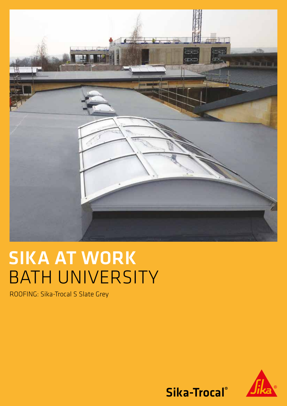

# SIKA AT WORK BATH UNIVERSITY

ROOFING: Sika-Trocal S Slate Grey



Sika-Trocal®